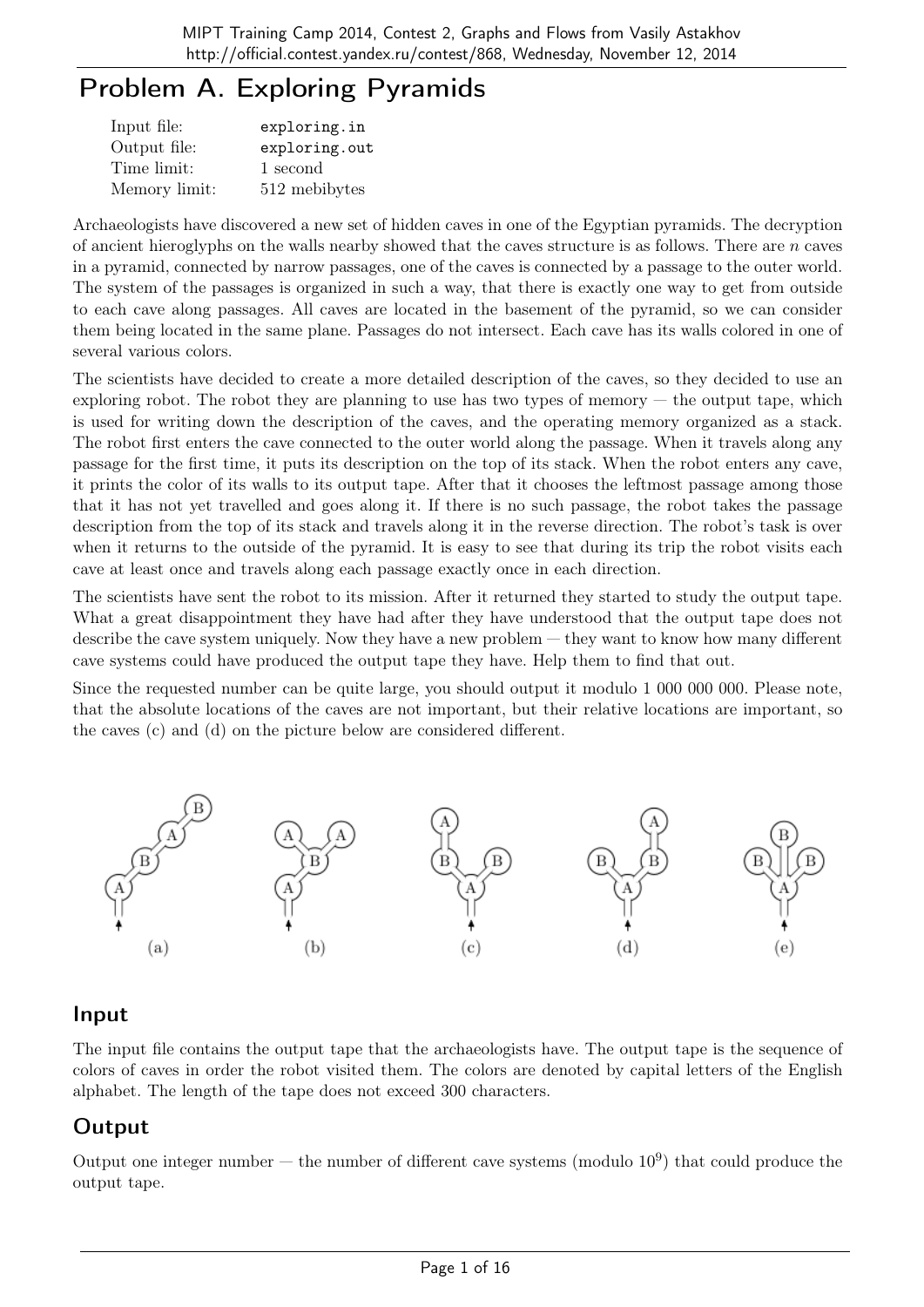# Problem A. Exploring Pyramids

| Input file:   | exploring.in  |
|---------------|---------------|
| Output file:  | exploring.out |
| Time limit:   | 1 second      |
| Memory limit: | 512 mebibytes |

Archaeologists have discovered a new set of hidden caves in one of the Egyptian pyramids. The decryption of ancient hieroglyphs on the walls nearby showed that the caves structure is as follows. There are  $n$  caves in a pyramid, connected by narrow passages, one of the caves is connected by a passage to the outer world. The system of the passages is organized in such a way, that there is exactly one way to get from outside to each cave along passages. All caves are located in the basement of the pyramid, so we can consider them being located in the same plane. Passages do not intersect. Each cave has its walls colored in one of several various colors.

The scientists have decided to create a more detailed description of the caves, so they decided to use an exploring robot. The robot they are planning to use has two types of memory  $-$  the output tape, which is used for writing down the description of the caves, and the operating memory organized as a stack. The robot first enters the cave connected to the outer world along the passage. When it travels along any passage for the first time, it puts its description on the top of its stack. When the robot enters any cave, it prints the color of its walls to its output tape. After that it chooses the leftmost passage among those that it has not yet travelled and goes along it. If there is no such passage, the robot takes the passage description from the top of its stack and travels along it in the reverse direction. The robot's task is over when it returns to the outside of the pyramid. It is easy to see that during its trip the robot visits each cave at least once and travels along each passage exactly once in each direction.

The scientists have sent the robot to its mission. After it returned they started to study the output tape. What a great disappointment they have had after they have understood that the output tape does not describe the cave system uniquely. Now they have a new problem — they want to know how many different cave systems could have produced the output tape they have. Help them to find that out.

Since the requested number can be quite large, you should output it modulo 1 000 000 000. Please note, that the absolute locations of the caves are not important, but their relative locations are important, so the caves (c) and (d) on the picture below are considered different.



### Input

The input file contains the output tape that the archaeologists have. The output tape is the sequence of colors of caves in order the robot visited them. The colors are denoted by capital letters of the English alphabet. The length of the tape does not exceed 300 characters.

### **Output**

Output one integer number  $-$  the number of different cave systems (modulo  $10^9$ ) that could produce the output tape.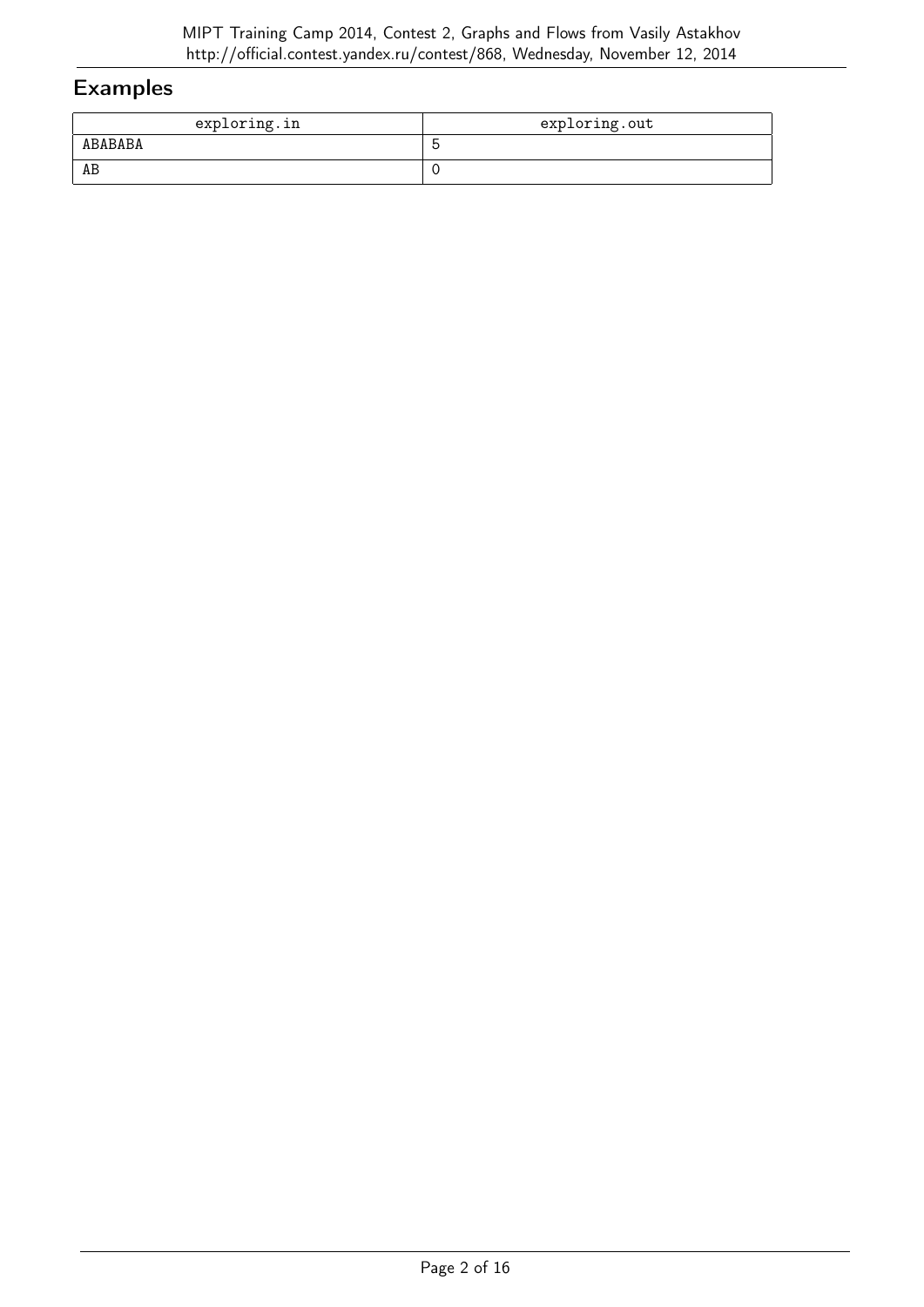| exploring.in | exploring.out |
|--------------|---------------|
| ABABABA      | ∽             |
| AB           |               |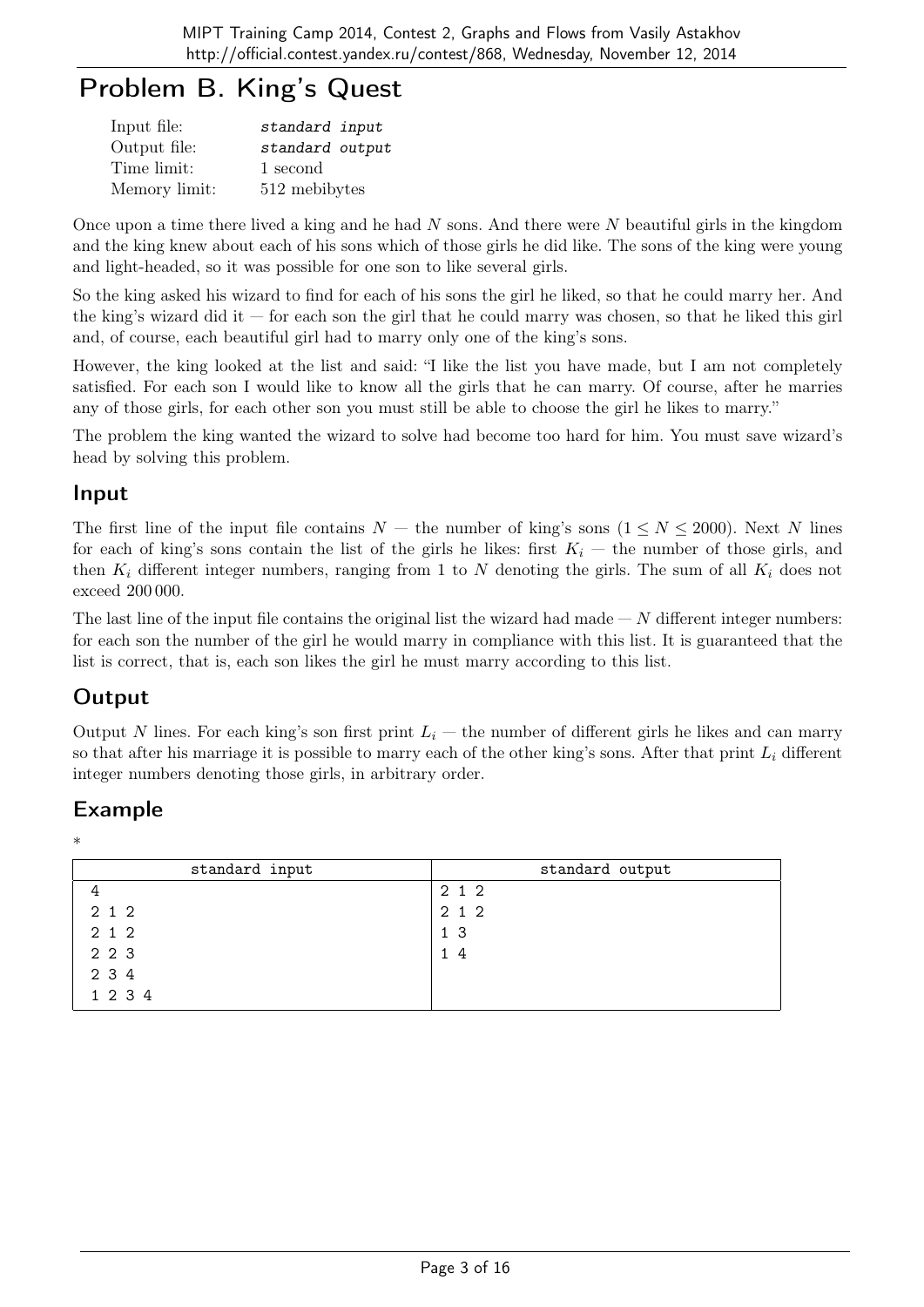# Problem B. King's Quest

| Input file:   | standard input  |
|---------------|-----------------|
| Output file:  | standard output |
| Time limit:   | 1 second        |
| Memory limit: | 512 mebibytes   |

Once upon a time there lived a king and he had  $N$  sons. And there were  $N$  beautiful girls in the kingdom and the king knew about each of his sons which of those girls he did like. The sons of the king were young and light-headed, so it was possible for one son to like several girls.

So the king asked his wizard to find for each of his sons the girl he liked, so that he could marry her. And the king's wizard did it  $-$  for each son the girl that he could marry was chosen, so that he liked this girl and, of course, each beautiful girl had to marry only one of the king's sons.

However, the king looked at the list and said: "I like the list you have made, but I am not completely satisfied. For each son I would like to know all the girls that he can marry. Of course, after he marries any of those girls, for each other son you must still be able to choose the girl he likes to marry."

The problem the king wanted the wizard to solve had become too hard for him. You must save wizard's head by solving this problem.

#### Input

The first line of the input file contains  $N -$  the number of king's sons  $(1 \le N \le 2000)$ . Next N lines for each of king's sons contain the list of the girls he likes: first  $K_i$  — the number of those girls, and then  $K_i$  different integer numbers, ranging from 1 to N denoting the girls. The sum of all  $K_i$  does not exceed 200 000.

The last line of the input file contains the original list the wizard had made  $-N$  different integer numbers: for each son the number of the girl he would marry in compliance with this list. It is guaranteed that the list is correct, that is, each son likes the girl he must marry according to this list.

### **Output**

Output N lines. For each king's son first print  $L_i$  — the number of different girls he likes and can marry so that after his marriage it is possible to marry each of the other king's sons. After that print  $L_i$  different integer numbers denoting those girls, in arbitrary order.

### Example

\*

| standard input | standard output |
|----------------|-----------------|
|                | 2 1 2           |
| 2 1 2          | 2 1 2           |
| 2 1 2          | 1 3             |
| 2 2 3          | 14              |
| 2 3 4          |                 |
| 1 2 3 4        |                 |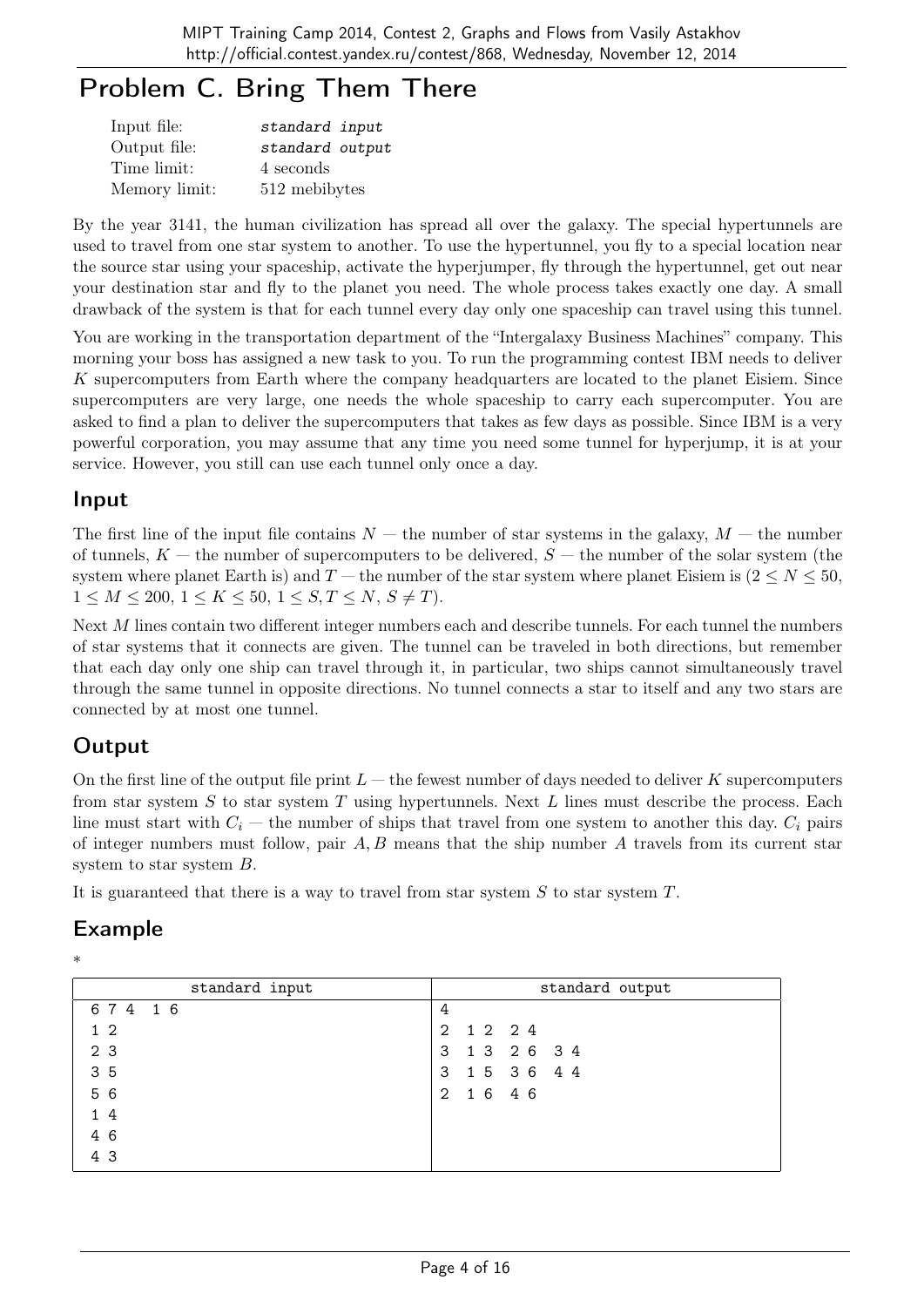# Problem C. Bring Them There

| Input file:   | standard input  |
|---------------|-----------------|
| Output file:  | standard output |
| Time limit:   | 4 seconds       |
| Memory limit: | 512 mebibytes   |

By the year 3141, the human civilization has spread all over the galaxy. The special hypertunnels are used to travel from one star system to another. To use the hypertunnel, you fly to a special location near the source star using your spaceship, activate the hyperjumper, fly through the hypertunnel, get out near your destination star and fly to the planet you need. The whole process takes exactly one day. A small drawback of the system is that for each tunnel every day only one spaceship can travel using this tunnel.

You are working in the transportation department of the "Intergalaxy Business Machines" company. This morning your boss has assigned a new task to you. To run the programming contest IBM needs to deliver K supercomputers from Earth where the company headquarters are located to the planet Eisiem. Since supercomputers are very large, one needs the whole spaceship to carry each supercomputer. You are asked to find a plan to deliver the supercomputers that takes as few days as possible. Since IBM is a very powerful corporation, you may assume that any time you need some tunnel for hyperjump, it is at your service. However, you still can use each tunnel only once a day.

#### Input

The first line of the input file contains  $N -$  the number of star systems in the galaxy,  $M -$  the number of tunnels,  $K$  — the number of supercomputers to be delivered,  $S$  — the number of the solar system (the system where planet Earth is) and T — the number of the star system where planet Eisiem is  $(2 \le N \le 50,$  $1 \leq M \leq 200, \ 1 \leq K \leq 50, \ 1 \leq S, T \leq N, \ S \neq T$ .

Next M lines contain two different integer numbers each and describe tunnels. For each tunnel the numbers of star systems that it connects are given. The tunnel can be traveled in both directions, but remember that each day only one ship can travel through it, in particular, two ships cannot simultaneously travel through the same tunnel in opposite directions. No tunnel connects a star to itself and any two stars are connected by at most one tunnel.

### **Output**

On the first line of the output file print  $L$  — the fewest number of days needed to deliver K supercomputers from star system S to star system T using hypertunnels. Next L lines must describe the process. Each line must start with  $C_i$  — the number of ships that travel from one system to another this day.  $C_i$  pairs of integer numbers must follow, pair  $A, B$  means that the ship number  $A$  travels from its current star system to star system B.

It is guaranteed that there is a way to travel from star system  $S$  to star system  $T$ .

| u      |
|--------|
| I<br>u |
|        |

| standard input | standard output      |
|----------------|----------------------|
| 674 16         | 4                    |
| $1\,2$         | 1 2 2 4<br>2         |
| 2 3            | 1 3 2 6 3 4<br>3     |
| 35             | 15 36 44<br>3        |
| 5 6            | 16 46<br>$2^{\circ}$ |
| 14             |                      |
| 4 6            |                      |
| 4 3            |                      |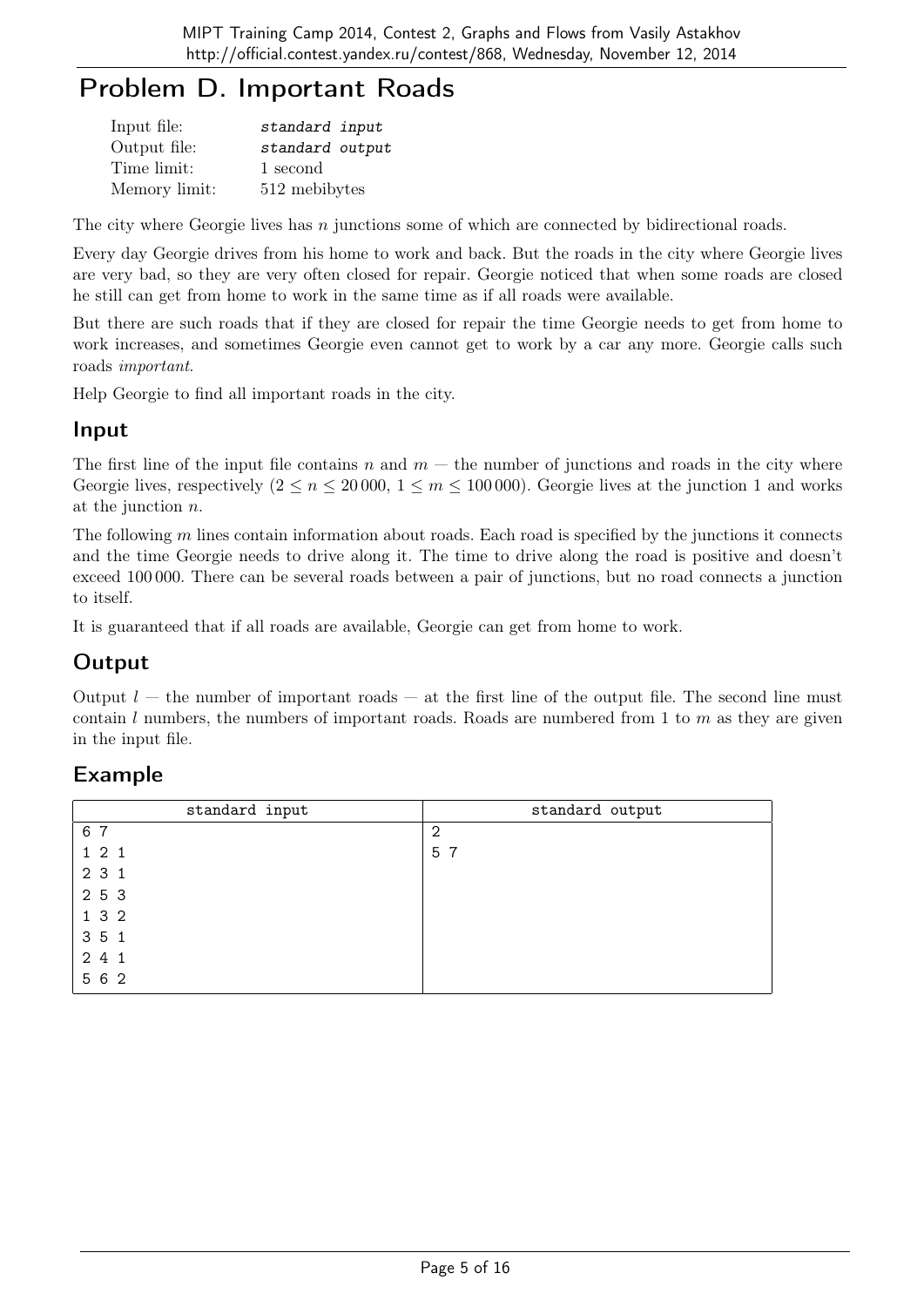# Problem D. Important Roads

| Input file:   | standard input  |
|---------------|-----------------|
| Output file:  | standard output |
| Time limit:   | 1 second        |
| Memory limit: | 512 mebibytes   |

The city where Georgie lives has  $n$  junctions some of which are connected by bidirectional roads.

Every day Georgie drives from his home to work and back. But the roads in the city where Georgie lives are very bad, so they are very often closed for repair. Georgie noticed that when some roads are closed he still can get from home to work in the same time as if all roads were available.

But there are such roads that if they are closed for repair the time Georgie needs to get from home to work increases, and sometimes Georgie even cannot get to work by a car any more. Georgie calls such roads important.

Help Georgie to find all important roads in the city.

#### Input

The first line of the input file contains n and  $m$  — the number of junctions and roads in the city where Georgie lives, respectively  $(2 \le n \le 20000, 1 \le m \le 100000)$ . Georgie lives at the junction 1 and works at the junction n.

The following  $m$  lines contain information about roads. Each road is specified by the junctions it connects and the time Georgie needs to drive along it. The time to drive along the road is positive and doesn't exceed 100 000. There can be several roads between a pair of junctions, but no road connects a junction to itself.

It is guaranteed that if all roads are available, Georgie can get from home to work.

### **Output**

Output  $l$  — the number of important roads — at the first line of the output file. The second line must contain l numbers, the numbers of important roads. Roads are numbered from 1 to  $m$  as they are given in the input file.

| standard input | standard output |
|----------------|-----------------|
| 6 7            | $\overline{2}$  |
| 121            | 5 7             |
| 2 3 1          |                 |
| 2 5 3          |                 |
| 1 3 2          |                 |
| 3 5 1          |                 |
| 2 4 1          |                 |
| 5 6 2          |                 |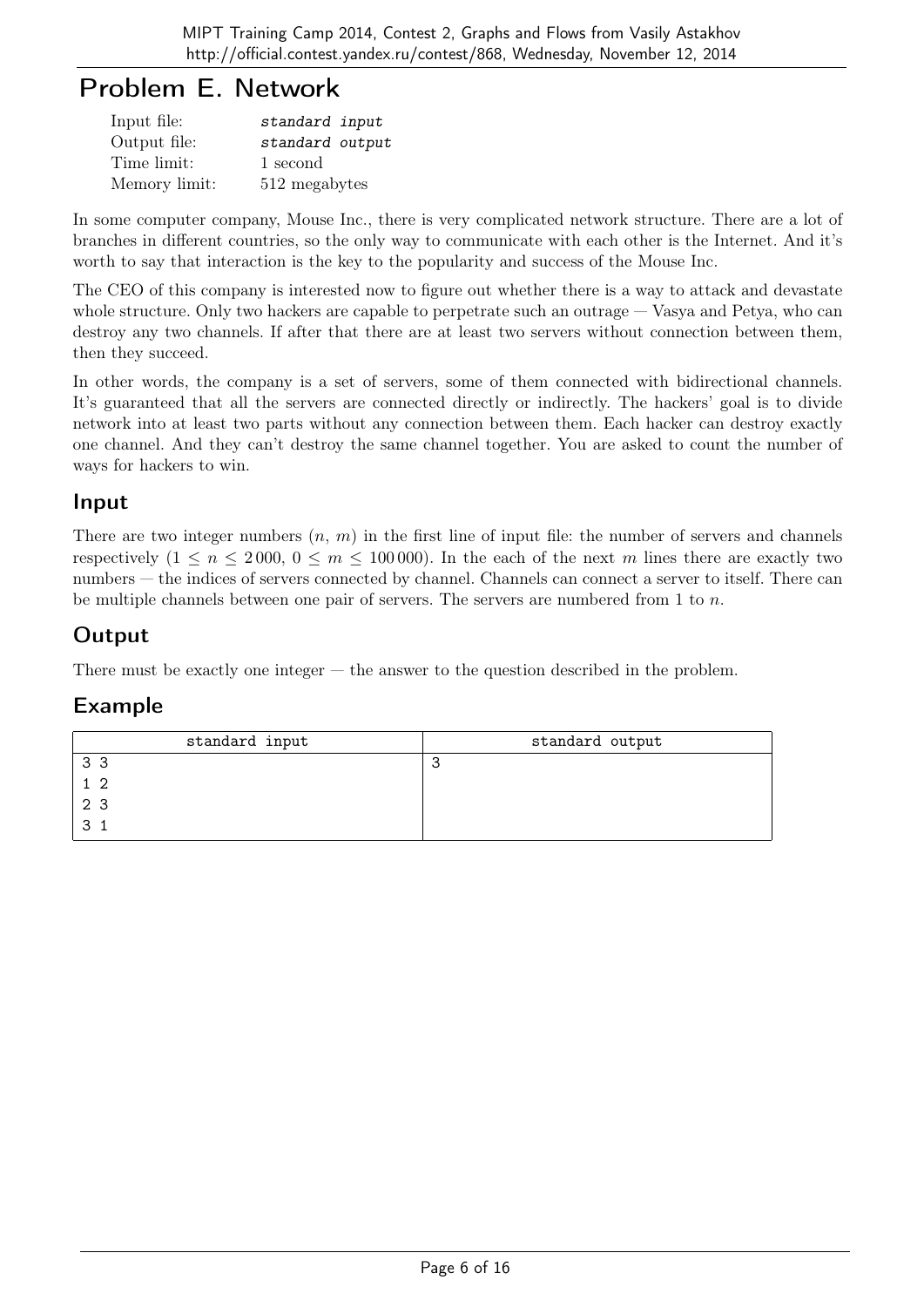## Problem E. Network

| Input file:   | standard input  |
|---------------|-----------------|
| Output file:  | standard output |
| Time limit:   | 1 second        |
| Memory limit: | 512 megabytes   |

In some computer company, Mouse Inc., there is very complicated network structure. There are a lot of branches in different countries, so the only way to communicate with each other is the Internet. And it's worth to say that interaction is the key to the popularity and success of the Mouse Inc.

The CEO of this company is interested now to figure out whether there is a way to attack and devastate whole structure. Only two hackers are capable to perpetrate such an outrage — Vasya and Petya, who can destroy any two channels. If after that there are at least two servers without connection between them, then they succeed.

In other words, the company is a set of servers, some of them connected with bidirectional channels. It's guaranteed that all the servers are connected directly or indirectly. The hackers' goal is to divide network into at least two parts without any connection between them. Each hacker can destroy exactly one channel. And they can't destroy the same channel together. You are asked to count the number of ways for hackers to win.

#### Input

There are two integer numbers  $(n, m)$  in the first line of input file: the number of servers and channels respectively  $(1 \le n \le 2000, 0 \le m \le 100000)$ . In the each of the next m lines there are exactly two numbers — the indices of servers connected by channel. Channels can connect a server to itself. There can be multiple channels between one pair of servers. The servers are numbered from 1 to  $n$ .

### **Output**

There must be exactly one integer — the answer to the question described in the problem.

| standard input | standard output |
|----------------|-----------------|
| 3 <sub>3</sub> | $\sim$          |
| 12             |                 |
| 2 3            |                 |
| 3              |                 |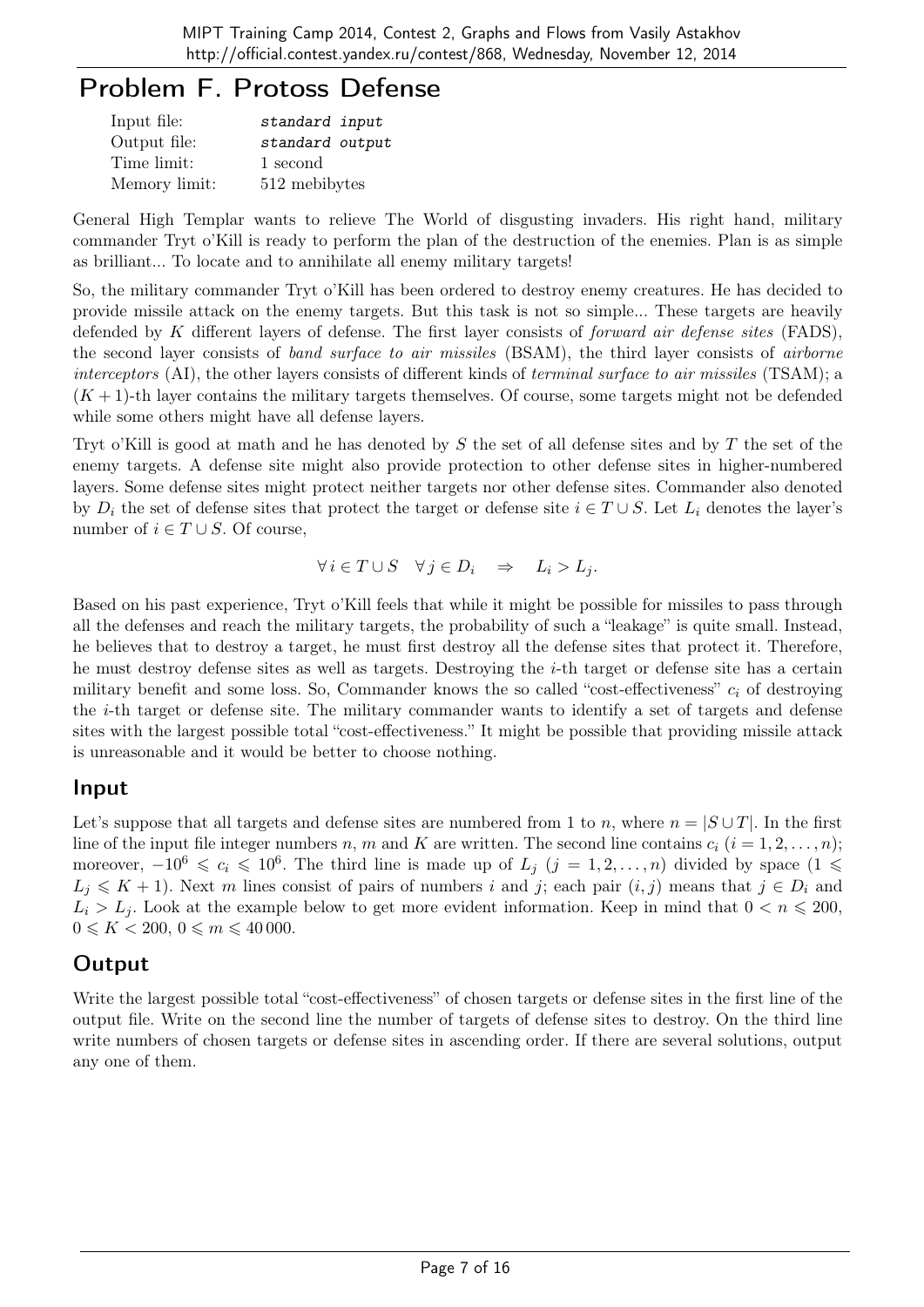## Problem F. Protoss Defense

| Input file:   | standard input  |
|---------------|-----------------|
| Output file:  | standard output |
| Time limit:   | 1 second        |
| Memory limit: | 512 mebibytes   |

General High Templar wants to relieve The World of disgusting invaders. His right hand, military commander Tryt o'Kill is ready to perform the plan of the destruction of the enemies. Plan is as simple as brilliant... To locate and to annihilate all enemy military targets!

So, the military commander Tryt o'Kill has been ordered to destroy enemy creatures. He has decided to provide missile attack on the enemy targets. But this task is not so simple... These targets are heavily defended by K different layers of defense. The first layer consists of *forward air defense sites* (FADS), the second layer consists of *band surface to air missiles* (BSAM), the third layer consists of *airborne* interceptors (AI), the other layers consists of different kinds of *terminal surface to air missiles* (TSAM); a  $(K+1)$ -th layer contains the military targets themselves. Of course, some targets might not be defended while some others might have all defense layers.

Tryt o'Kill is good at math and he has denoted by S the set of all defense sites and by T the set of the enemy targets. A defense site might also provide protection to other defense sites in higher-numbered layers. Some defense sites might protect neither targets nor other defense sites. Commander also denoted by  $D_i$  the set of defense sites that protect the target or defense site  $i \in T \cup S$ . Let  $L_i$  denotes the layer's number of  $i \in T \cup S$ . Of course,

$$
\forall i \in T \cup S \quad \forall j \in D_i \quad \Rightarrow \quad L_i > L_j.
$$

Based on his past experience, Tryt o'Kill feels that while it might be possible for missiles to pass through all the defenses and reach the military targets, the probability of such a "leakage" is quite small. Instead, he believes that to destroy a target, he must first destroy all the defense sites that protect it. Therefore, he must destroy defense sites as well as targets. Destroying the i-th target or defense site has a certain military benefit and some loss. So, Commander knows the so called "cost-effectiveness"  $c_i$  of destroying the i-th target or defense site. The military commander wants to identify a set of targets and defense sites with the largest possible total "cost-effectiveness." It might be possible that providing missile attack is unreasonable and it would be better to choose nothing.

#### Input

Let's suppose that all targets and defense sites are numbered from 1 to n, where  $n = |S \cup T|$ . In the first line of the input file integer numbers n, m and K are written. The second line contains  $c_i$   $(i = 1, 2, \ldots, n);$ moreover,  $-10^6 \leqslant c_i \leqslant 10^6$ . The third line is made up of  $L_j$   $(j = 1, 2, ..., n)$  divided by space  $(1 \leqslant$  $L_j \leq K + 1$ ). Next m lines consist of pairs of numbers i and j; each pair  $(i, j)$  means that  $j \in D_i$  and  $L_i > L_j$ . Look at the example below to get more evident information. Keep in mind that  $0 < n \leq 200$ ,  $0 \le K < 200, 0 \le m \le 40000.$ 

#### **Output**

Write the largest possible total "cost-effectiveness" of chosen targets or defense sites in the first line of the output file. Write on the second line the number of targets of defense sites to destroy. On the third line write numbers of chosen targets or defense sites in ascending order. If there are several solutions, output any one of them.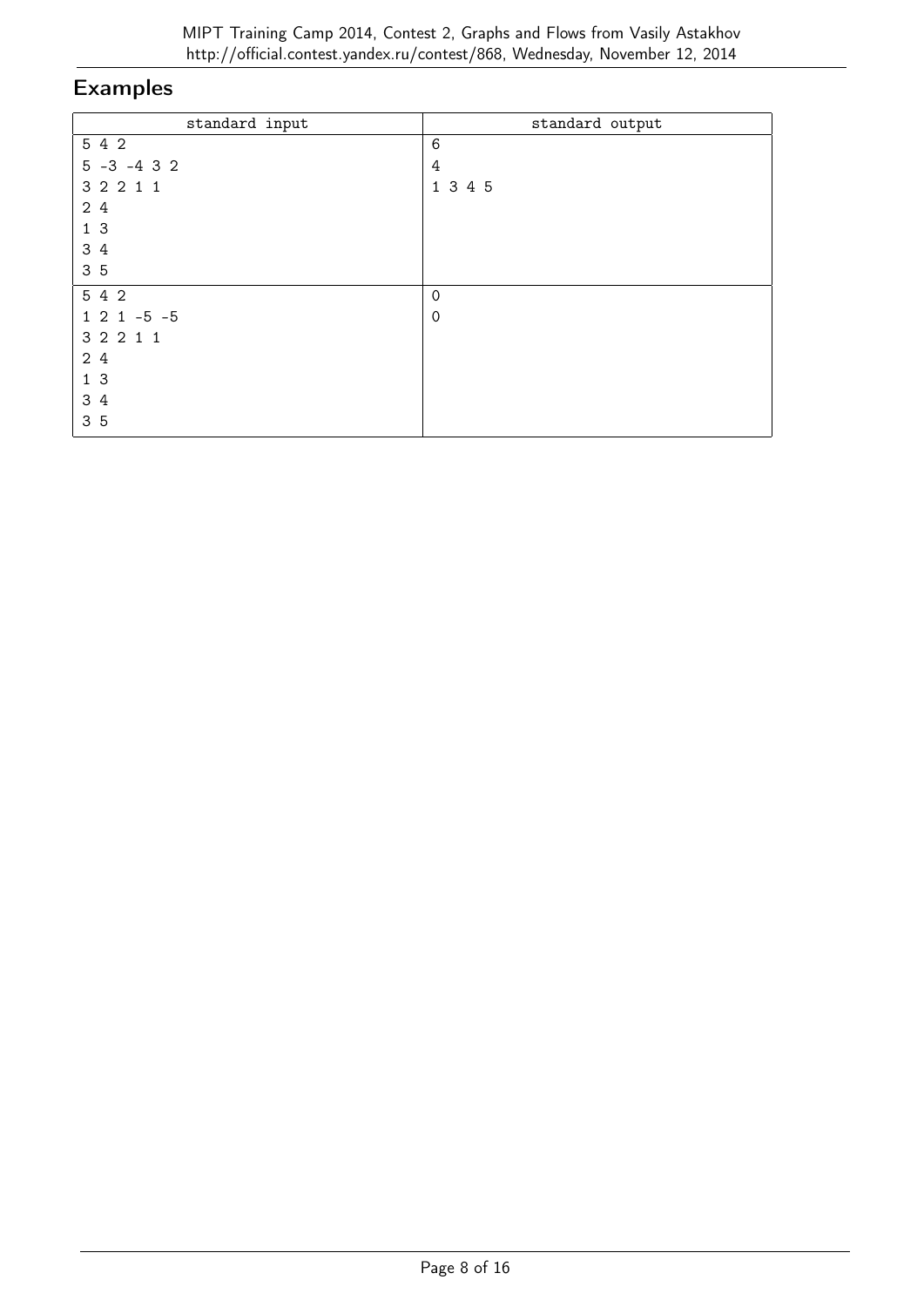| standard input  | standard output |
|-----------------|-----------------|
| 5 4 2           | $\,6$           |
| $5 - 3 - 4 3 2$ | 4               |
| 3 2 2 1 1       | 1 3 4 5         |
| 24              |                 |
| 1 <sub>3</sub>  |                 |
| 3 4             |                 |
| 3 5             |                 |
| 5 4 2           | $\mathbf 0$     |
| $1 2 1 - 5 - 5$ | $\mathbf 0$     |
| 3 2 2 1 1       |                 |
| 2 4             |                 |
| 13              |                 |
| 3 4             |                 |
| 35              |                 |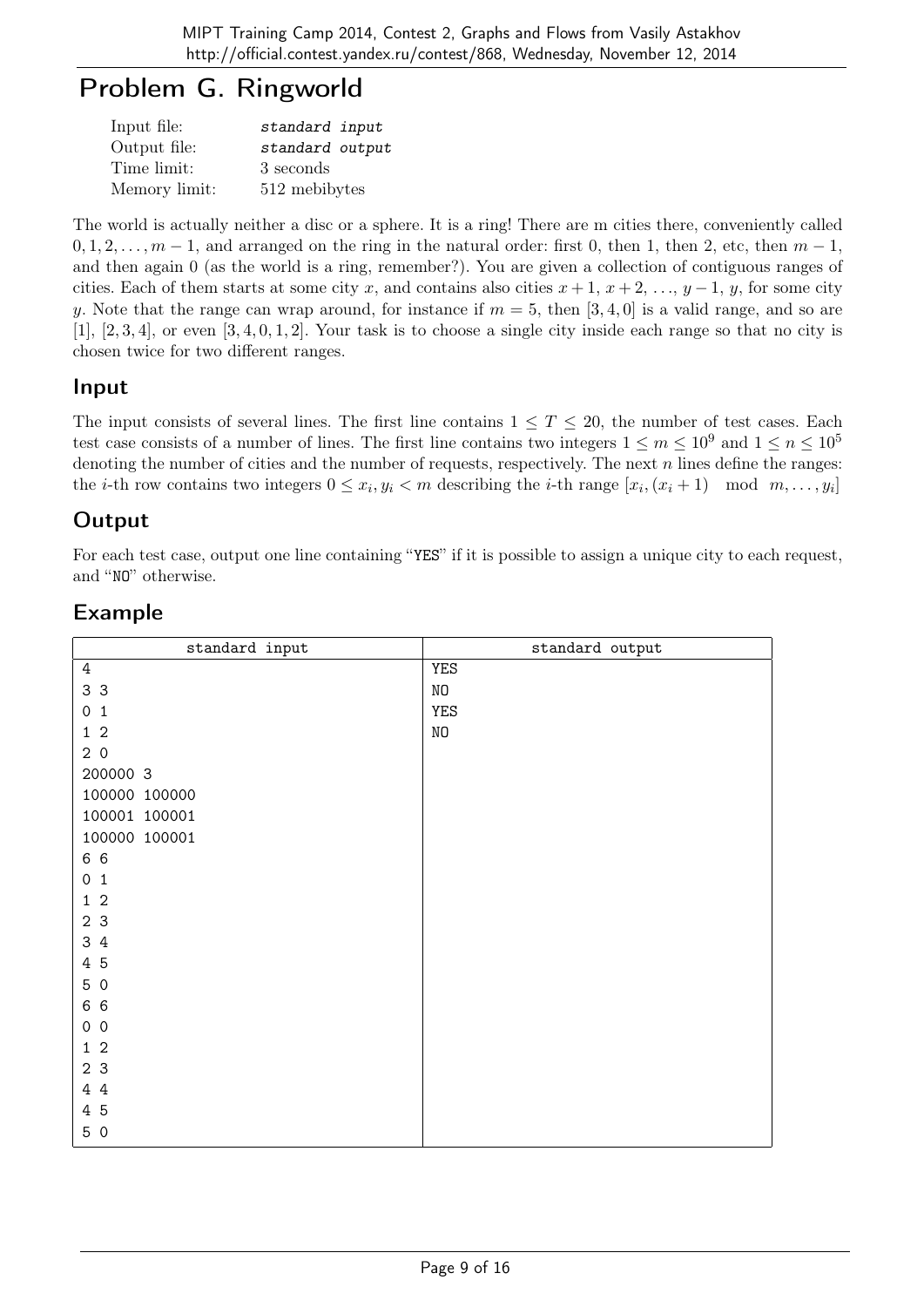# Problem G. Ringworld

| Input file:   | standard input  |
|---------------|-----------------|
| Output file:  | standard output |
| Time limit:   | 3 seconds       |
| Memory limit: | 512 mebibytes   |

The world is actually neither a disc or a sphere. It is a ring! There are m cities there, conveniently called  $0, 1, 2, \ldots, m-1$ , and arranged on the ring in the natural order: first 0, then 1, then 2, etc, then  $m-1$ , and then again 0 (as the world is a ring, remember?). You are given a collection of contiguous ranges of cities. Each of them starts at some city x, and contains also cities  $x + 1$ ,  $x + 2$ , ...,  $y - 1$ , y, for some city y. Note that the range can wrap around, for instance if  $m = 5$ , then [3, 4, 0] is a valid range, and so are  $[1]$ ,  $[2, 3, 4]$ , or even  $[3, 4, 0, 1, 2]$ . Your task is to choose a single city inside each range so that no city is chosen twice for two different ranges.

### Input

The input consists of several lines. The first line contains  $1 \leq T \leq 20$ , the number of test cases. Each test case consists of a number of lines. The first line contains two integers  $1 \le m \le 10^9$  and  $1 \le n \le 10^5$ denoting the number of cities and the number of requests, respectively. The next  $n$  lines define the ranges: the *i*-th row contains two integers  $0 \le x_i, y_i < m$  describing the *i*-th range  $[x_i, (x_i + 1) \mod m, \ldots, y_i]$ 

### Output

For each test case, output one line containing "YES" if it is possible to assign a unique city to each request, and "NO" otherwise.

| standard input                        | standard output |
|---------------------------------------|-----------------|
| $\ensuremath{4}$                      | <b>YES</b>      |
| 3 3                                   | NO              |
| $\mathsf{O}\xspace$<br>$\overline{1}$ | <b>YES</b>      |
| $1\quad2$                             | N <sub>O</sub>  |
| 20                                    |                 |
| 200000 3                              |                 |
| 100000 100000                         |                 |
| 100001 100001                         |                 |
| 100000 100001                         |                 |
| 6 6                                   |                 |
| 0 <sub>1</sub>                        |                 |
| $\overline{2}$<br>$\mathbf{1}$        |                 |
| 2 3                                   |                 |
| 3 4                                   |                 |
| 4 5                                   |                 |
| 5 0                                   |                 |
| 6 6                                   |                 |
| $\mathsf{O}\xspace$<br>$\overline{0}$ |                 |
| 1 <sub>2</sub>                        |                 |
| 2 3                                   |                 |
| 4 4                                   |                 |
| 4 5                                   |                 |
| 5 0                                   |                 |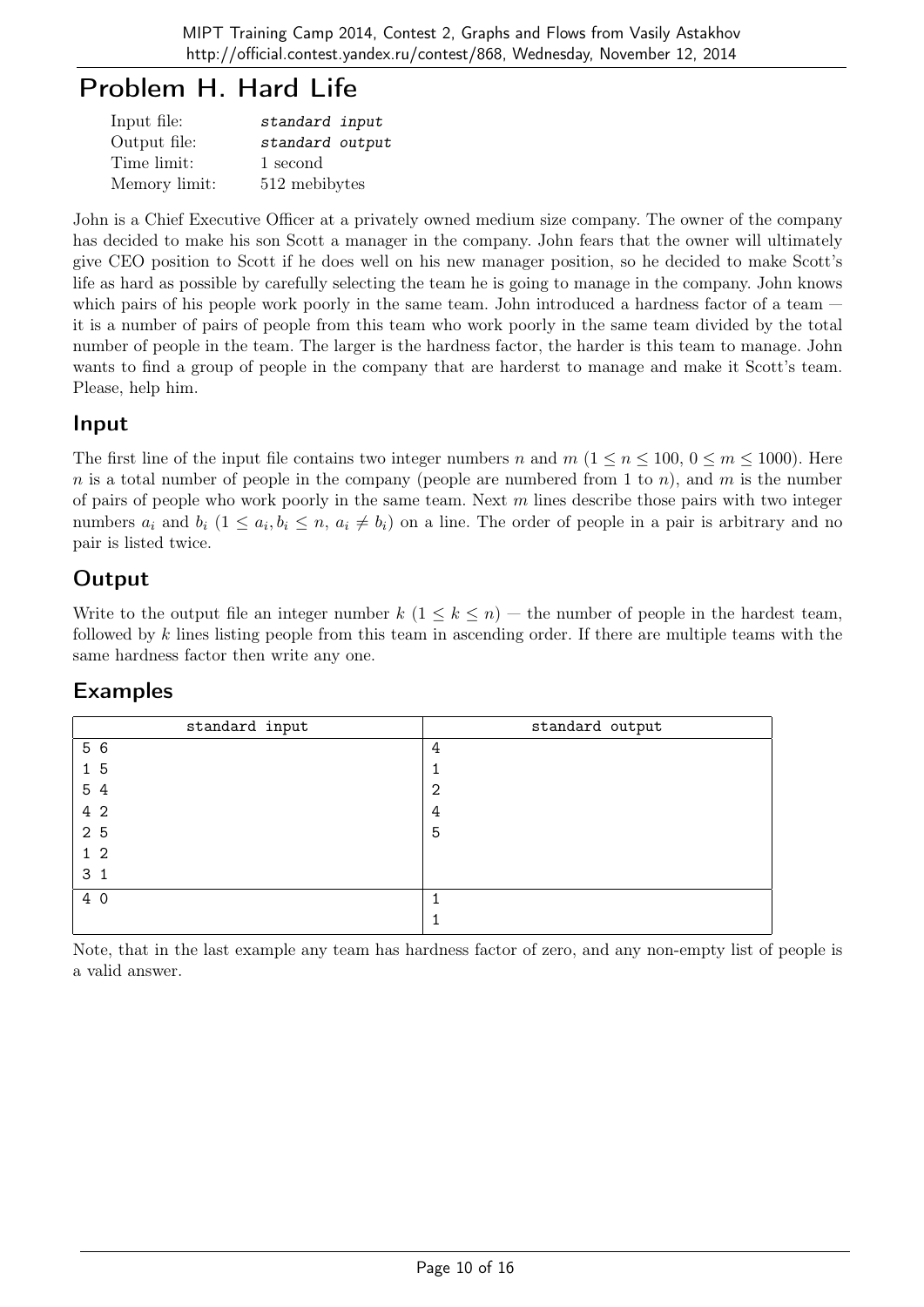## Problem H. Hard Life

| Input file:   | standard input  |
|---------------|-----------------|
| Output file:  | standard output |
| Time limit:   | 1 second        |
| Memory limit: | 512 mebibytes   |

John is a Chief Executive Officer at a privately owned medium size company. The owner of the company has decided to make his son Scott a manager in the company. John fears that the owner will ultimately give CEO position to Scott if he does well on his new manager position, so he decided to make Scott's life as hard as possible by carefully selecting the team he is going to manage in the company. John knows which pairs of his people work poorly in the same team. John introduced a hardness factor of a team  $$ it is a number of pairs of people from this team who work poorly in the same team divided by the total number of people in the team. The larger is the hardness factor, the harder is this team to manage. John wants to find a group of people in the company that are harderst to manage and make it Scott's team. Please, help him.

#### Input

The first line of the input file contains two integer numbers n and  $m$  ( $1 \le n \le 100$ ,  $0 \le m \le 1000$ ). Here n is a total number of people in the company (people are numbered from 1 to n), and m is the number of pairs of people who work poorly in the same team. Next  $m$  lines describe those pairs with two integer numbers  $a_i$  and  $b_i$   $(1 \le a_i, b_i \le n, a_i \ne b_i)$  on a line. The order of people in a pair is arbitrary and no pair is listed twice.

### **Output**

Write to the output file an integer number  $k$   $(1 \leq k \leq n)$  – the number of people in the hardest team, followed by k lines listing people from this team in ascending order. If there are multiple teams with the same hardness factor then write any one.

### Examples

| standard input | standard output |
|----------------|-----------------|
| 5 6            | 4               |
| 15             |                 |
| 5 4            | 2               |
| 4 2            | 4               |
| 2 5            | 5               |
| $1\,2$         |                 |
| 3 <sub>1</sub> |                 |
| 4 0            |                 |
|                |                 |

Note, that in the last example any team has hardness factor of zero, and any non-empty list of people is a valid answer.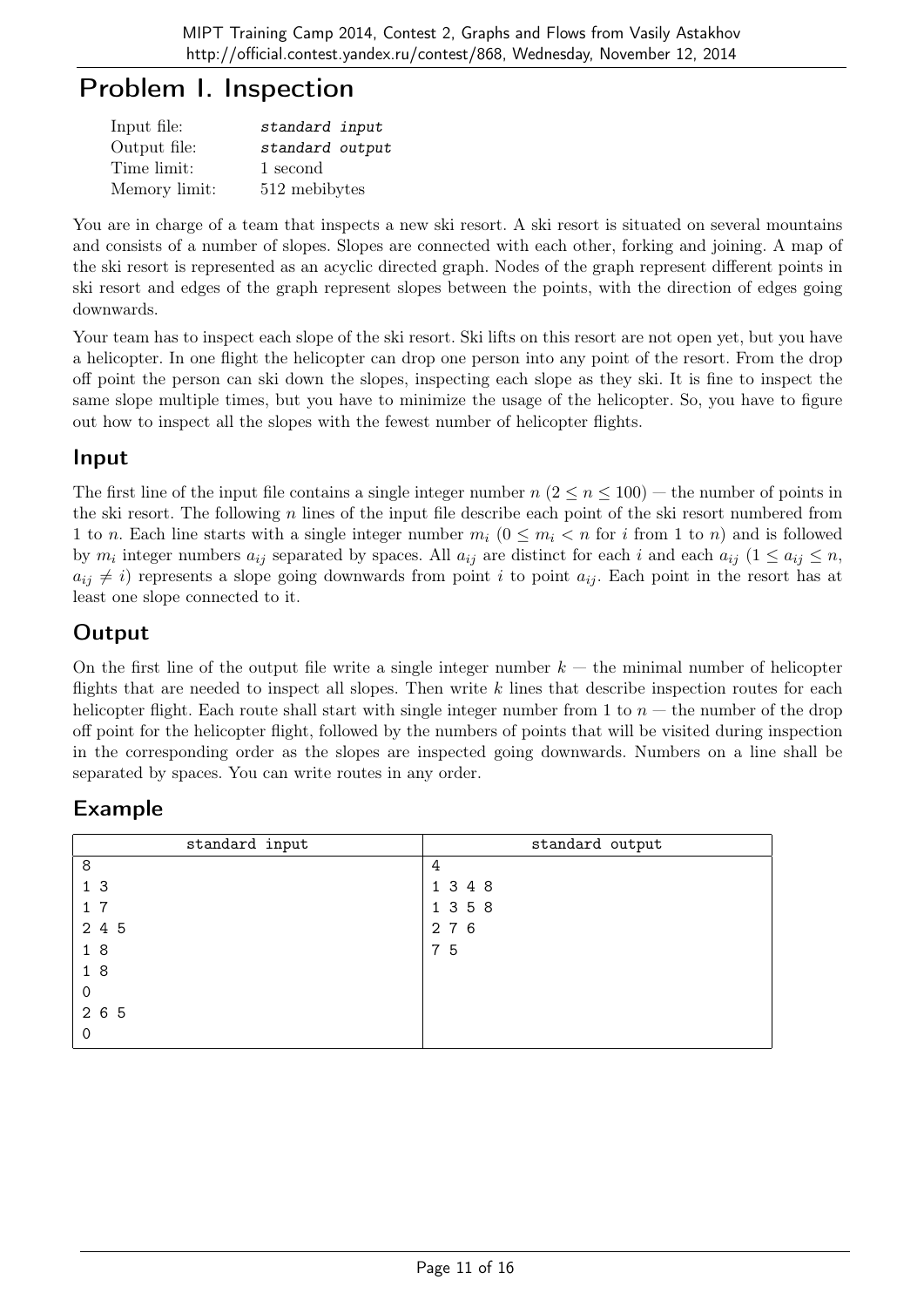## Problem I. Inspection

| Input file:   | standard input  |
|---------------|-----------------|
| Output file:  | standard output |
| Time limit:   | 1 second        |
| Memory limit: | 512 mebibytes   |

You are in charge of a team that inspects a new ski resort. A ski resort is situated on several mountains and consists of a number of slopes. Slopes are connected with each other, forking and joining. A map of the ski resort is represented as an acyclic directed graph. Nodes of the graph represent different points in ski resort and edges of the graph represent slopes between the points, with the direction of edges going downwards.

Your team has to inspect each slope of the ski resort. Ski lifts on this resort are not open yet, but you have a helicopter. In one flight the helicopter can drop one person into any point of the resort. From the drop off point the person can ski down the slopes, inspecting each slope as they ski. It is fine to inspect the same slope multiple times, but you have to minimize the usage of the helicopter. So, you have to figure out how to inspect all the slopes with the fewest number of helicopter flights.

#### Input

The first line of the input file contains a single integer number  $n (2 \le n \le 100)$  — the number of points in the ski resort. The following  $n$  lines of the input file describe each point of the ski resort numbered from 1 to n. Each line starts with a single integer number  $m_i$   $(0 \le m_i < n$  for i from 1 to n) and is followed by  $m_i$  integer numbers  $a_{ij}$  separated by spaces. All  $a_{ij}$  are distinct for each i and each  $a_{ij}$   $(1 \le a_{ij} \le n,$  $a_{ij} \neq i$ ) represents a slope going downwards from point i to point  $a_{ij}$ . Each point in the resort has at least one slope connected to it.

## **Output**

On the first line of the output file write a single integer number  $k -$  the minimal number of helicopter flights that are needed to inspect all slopes. Then write  $k$  lines that describe inspection routes for each helicopter flight. Each route shall start with single integer number from 1 to  $n-$  the number of the drop off point for the helicopter flight, followed by the numbers of points that will be visited during inspection in the corresponding order as the slopes are inspected going downwards. Numbers on a line shall be separated by spaces. You can write routes in any order.

| standard input | standard output |
|----------------|-----------------|
| 8              | 4               |
| 1 <sub>3</sub> | 1 3 4 8         |
| $1 \t7$        | 1 3 5 8         |
| 2 4 5          | 2 7 6           |
| 18             | 7 5             |
| 18             |                 |
| $\mathbf 0$    |                 |
| 2 6 5          |                 |
| $\Omega$       |                 |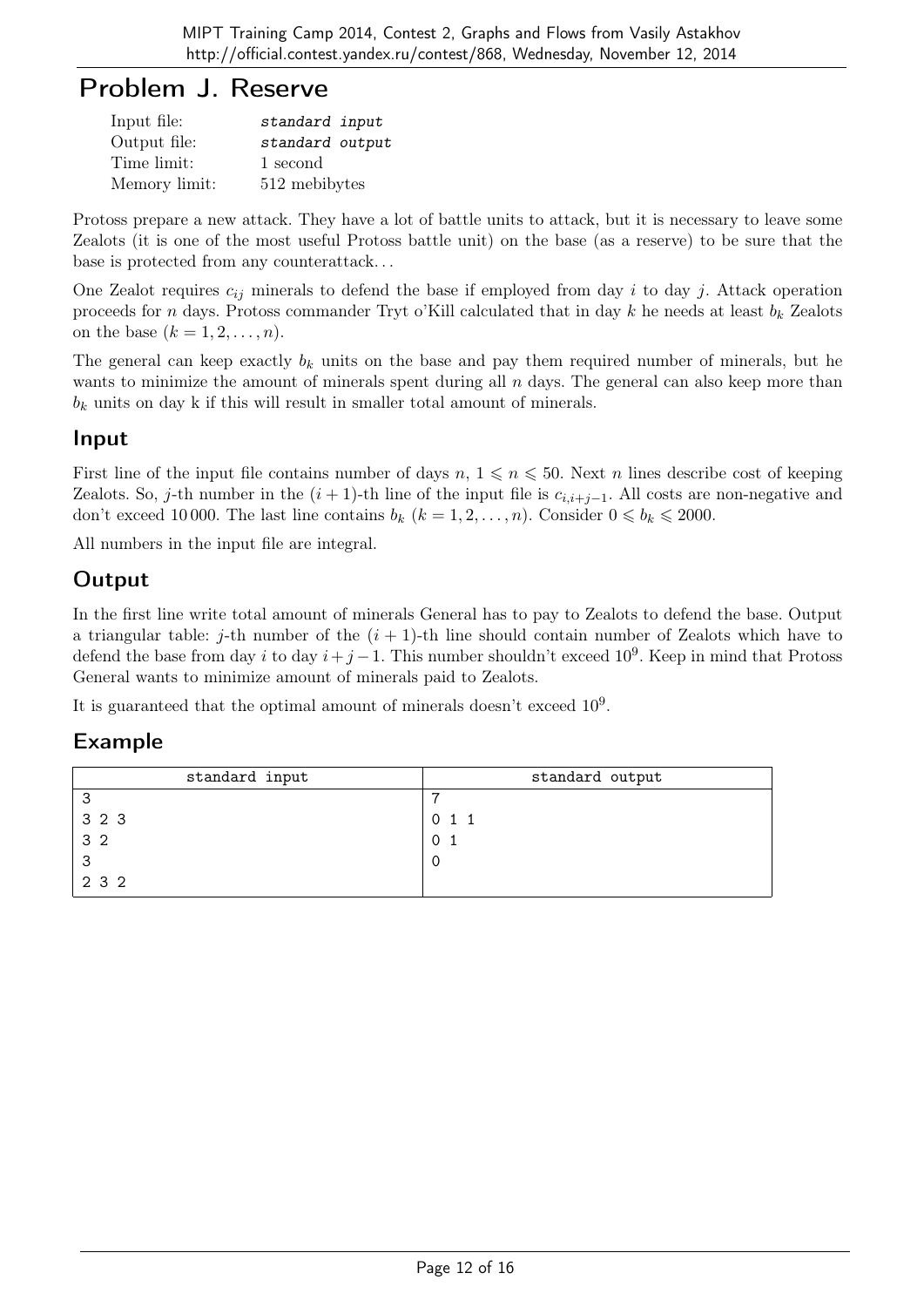## Problem J. Reserve

| Input file:   | standard input  |
|---------------|-----------------|
| Output file:  | standard output |
| Time limit:   | 1 second        |
| Memory limit: | 512 mebibytes   |

Protoss prepare a new attack. They have a lot of battle units to attack, but it is necessary to leave some Zealots (it is one of the most useful Protoss battle unit) on the base (as a reserve) to be sure that the base is protected from any counterattack. . .

One Zealot requires  $c_{ij}$  minerals to defend the base if employed from day i to day j. Attack operation proceeds for n days. Protoss commander Tryt o'Kill calculated that in day k he needs at least  $b_k$  Zealots on the base  $(k = 1, 2, \ldots, n)$ .

The general can keep exactly  $b_k$  units on the base and pay them required number of minerals, but he wants to minimize the amount of minerals spent during all  $n$  days. The general can also keep more than  $b_k$  units on day k if this will result in smaller total amount of minerals.

#### Input

First line of the input file contains number of days  $n, 1 \leq n \leq 50$ . Next n lines describe cost of keeping Zealots. So, j-th number in the  $(i + 1)$ -th line of the input file is  $c_{i,i+j-1}$ . All costs are non-negative and don't exceed 10 000. The last line contains  $b_k$   $(k = 1, 2, \ldots, n)$ . Consider  $0 \leq b_k \leq 2000$ .

All numbers in the input file are integral.

### **Output**

In the first line write total amount of minerals General has to pay to Zealots to defend the base. Output a triangular table: j-th number of the  $(i + 1)$ -th line should contain number of Zealots which have to defend the base from day i to day  $i+j-1$ . This number shouldn't exceed 10<sup>9</sup>. Keep in mind that Protoss General wants to minimize amount of minerals paid to Zealots.

It is guaranteed that the optimal amount of minerals doesn't exceed  $10^9$ .

| standard input  | standard output |
|-----------------|-----------------|
| З               |                 |
| 3 2 3           | $0\quad1\quad1$ |
| $\frac{1}{3}$ 2 | 01              |
| 3               |                 |
| 2 3 2           |                 |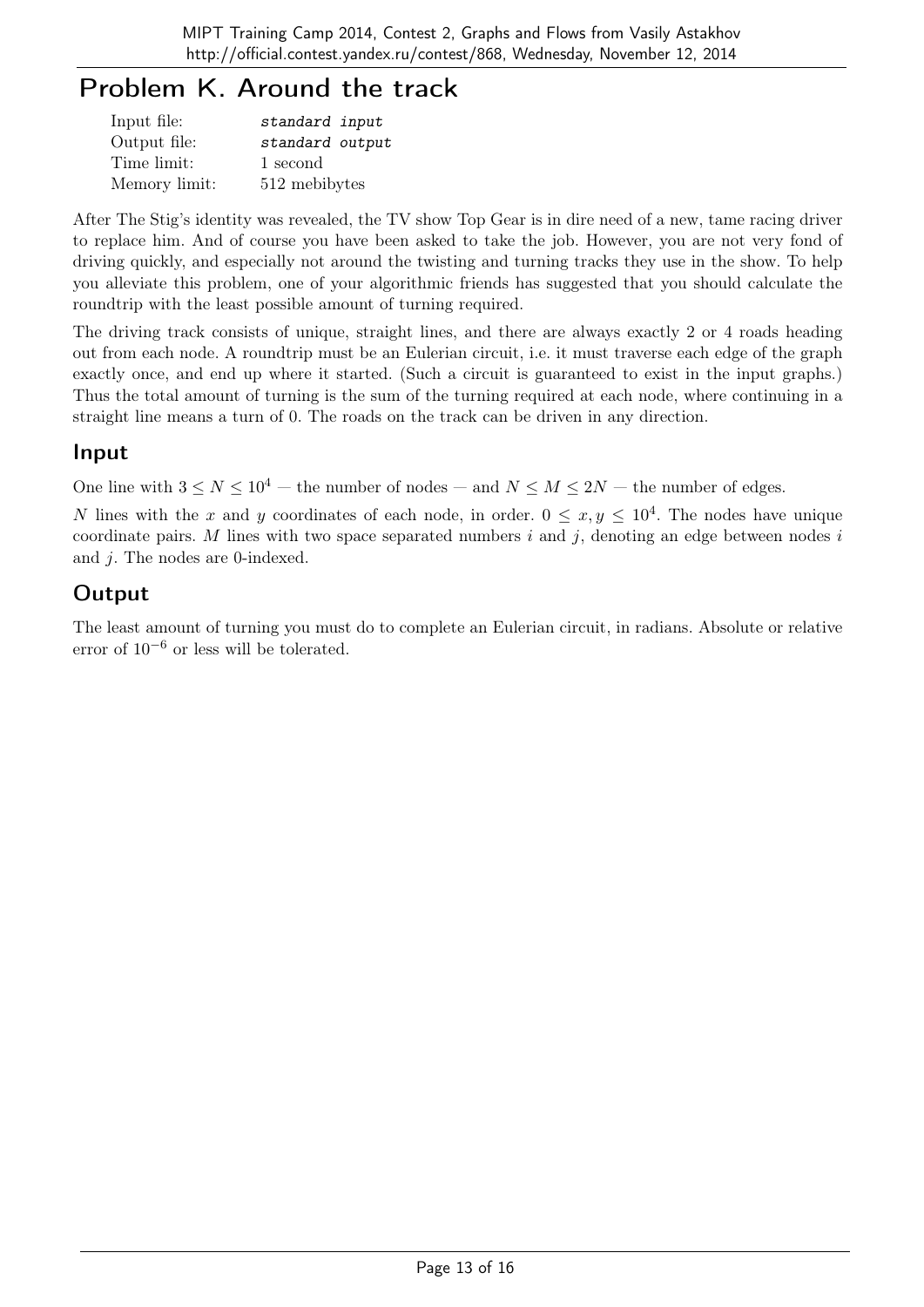# Problem K. Around the track

| Input file:   | standard input  |
|---------------|-----------------|
| Output file:  | standard output |
| Time limit:   | 1 second        |
| Memory limit: | 512 mebibytes   |

After The Stig's identity was revealed, the TV show Top Gear is in dire need of a new, tame racing driver to replace him. And of course you have been asked to take the job. However, you are not very fond of driving quickly, and especially not around the twisting and turning tracks they use in the show. To help you alleviate this problem, one of your algorithmic friends has suggested that you should calculate the roundtrip with the least possible amount of turning required.

The driving track consists of unique, straight lines, and there are always exactly 2 or 4 roads heading out from each node. A roundtrip must be an Eulerian circuit, i.e. it must traverse each edge of the graph exactly once, and end up where it started. (Such a circuit is guaranteed to exist in the input graphs.) Thus the total amount of turning is the sum of the turning required at each node, where continuing in a straight line means a turn of 0. The roads on the track can be driven in any direction.

#### Input

One line with  $3 \le N \le 10^4$  — the number of nodes — and  $N \le M \le 2N$  — the number of edges.

N lines with the x and y coordinates of each node, in order.  $0 \le x, y \le 10^4$ . The nodes have unique coordinate pairs. M lines with two space separated numbers  $i$  and  $j$ , denoting an edge between nodes  $i$ and j. The nodes are 0-indexed.

## **Output**

The least amount of turning you must do to complete an Eulerian circuit, in radians. Absolute or relative error of  $10^{-6}$  or less will be tolerated.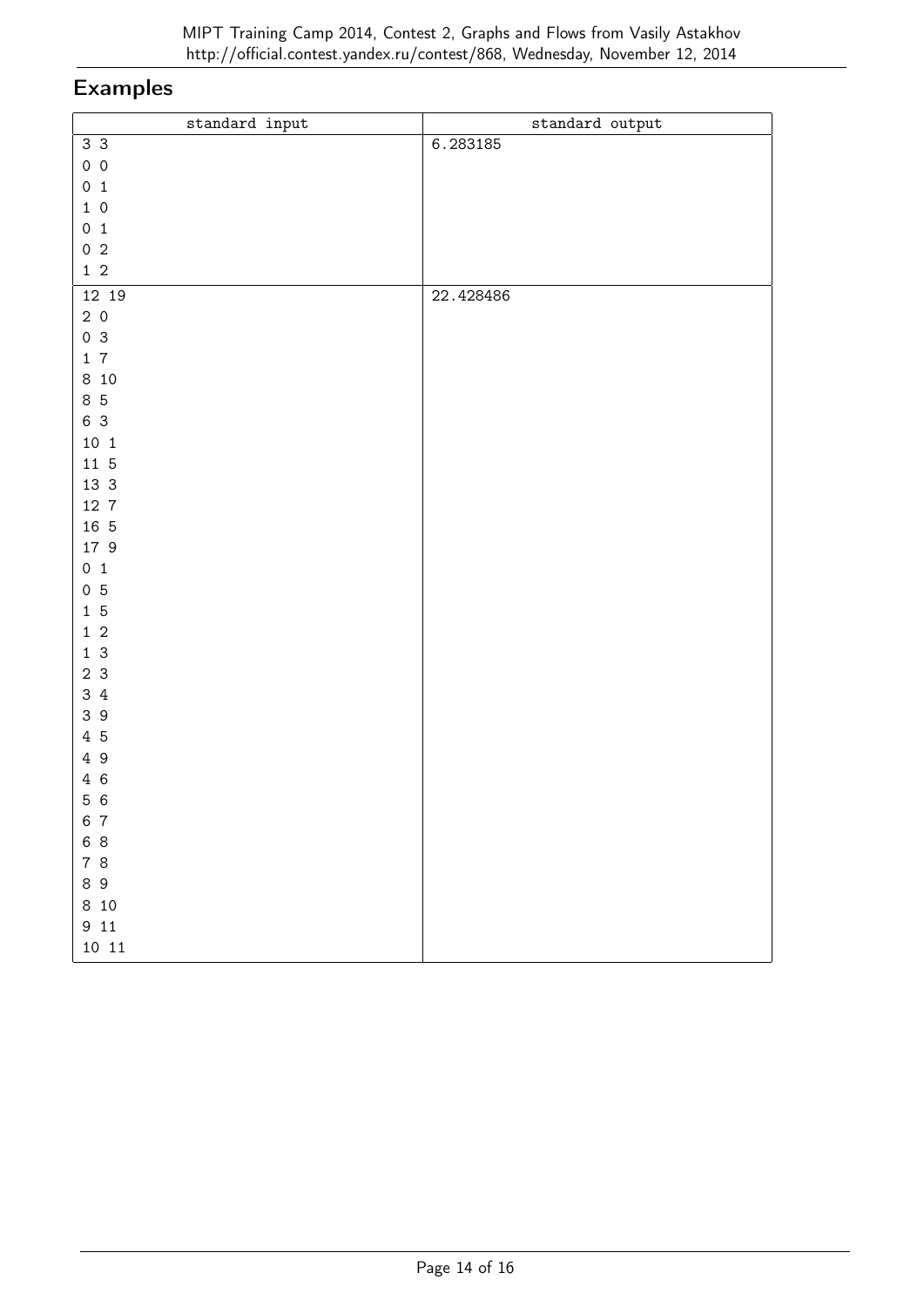| standard input  | standard output |
|-----------------|-----------------|
| 3 <sup>3</sup>  | 6.283185        |
| $0\quad 0$      |                 |
| 0 <sub>1</sub>  |                 |
| $1\ 0$          |                 |
| 0 <sub>1</sub>  |                 |
| 0 <sub>2</sub>  |                 |
| $1\,$ $2\,$     |                 |
| 12 19           | 22.428486       |
| 20              |                 |
| 0 <sup>3</sup>  |                 |
| 17              |                 |
| 8 10            |                 |
| 85              |                 |
| 6 3             |                 |
| $10\,$ $1\,$    |                 |
| 11 5            |                 |
| 13 3            |                 |
| 12 7            |                 |
| 16 5            |                 |
| 17 9            |                 |
| 0 <sub>1</sub>  |                 |
| 0 <sub>5</sub>  |                 |
| $1\overline{5}$ |                 |
| $1\,$ $2\,$     |                 |
| 13              |                 |
| 23              |                 |
| 3 4             |                 |
| 39              |                 |
| 4 5             |                 |
| 49              |                 |
| 4 6             |                 |
| 5 6             |                 |
| 6 7             |                 |
| 6 8             |                 |
| 7 8             |                 |
| 89              |                 |
| 8 10            |                 |
| 9 11            |                 |
| $10\;$ $11$     |                 |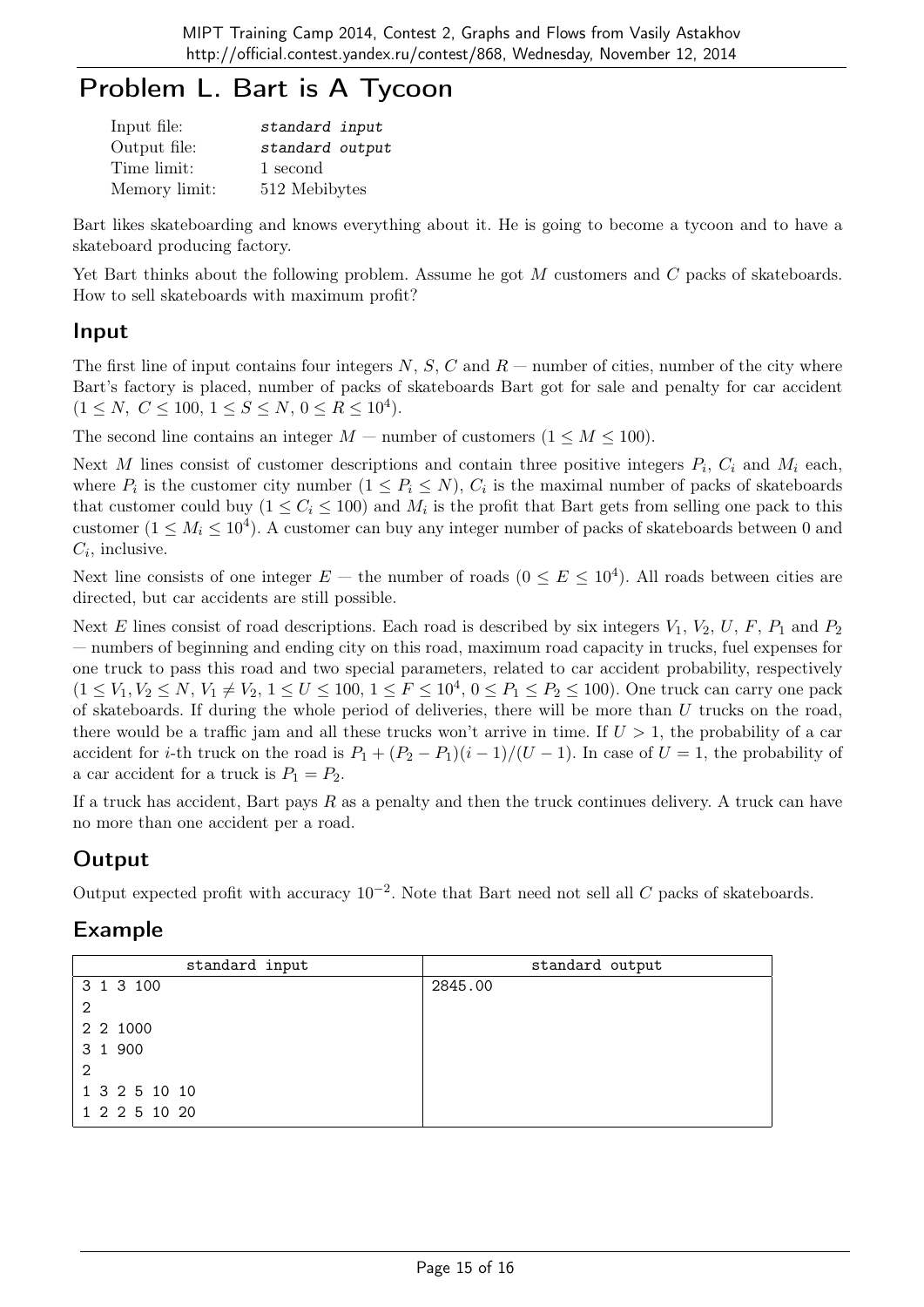# Problem L. Bart is A Tycoon

| Input file:   | standard input  |
|---------------|-----------------|
| Output file:  | standard output |
| Time limit:   | 1 second        |
| Memory limit: | 512 Mebibytes   |

Bart likes skateboarding and knows everything about it. He is going to become a tycoon and to have a skateboard producing factory.

Yet Bart thinks about the following problem. Assume he got M customers and C packs of skateboards. How to sell skateboards with maximum profit?

#### Input

The first line of input contains four integers  $N, S, C$  and  $R$  — number of cities, number of the city where Bart's factory is placed, number of packs of skateboards Bart got for sale and penalty for car accident  $(1 \le N, C \le 100, 1 \le S \le N, 0 \le R \le 10^4).$ 

The second line contains an integer  $M$  — number of customers  $(1 \leq M \leq 100)$ .

Next M lines consist of customer descriptions and contain three positive integers  $P_i$ ,  $C_i$  and  $M_i$  each, where  $P_i$  is the customer city number  $(1 \le P_i \le N)$ ,  $C_i$  is the maximal number of packs of skateboards that customer could buy  $(1 \le C_i \le 100)$  and  $M_i$  is the profit that Bart gets from selling one pack to this customer  $(1 \leq M_i \leq 10^4)$ . A customer can buy any integer number of packs of skateboards between 0 and  $C_i$ , inclusive.

Next line consists of one integer  $E$  – the number of roads  $(0 \le E \le 10^4)$ . All roads between cities are directed, but car accidents are still possible.

Next E lines consist of road descriptions. Each road is described by six integers  $V_1$ ,  $V_2$ ,  $U$ ,  $F$ ,  $P_1$  and  $P_2$ — numbers of beginning and ending city on this road, maximum road capacity in trucks, fuel expenses for one truck to pass this road and two special parameters, related to car accident probability, respectively  $(1 \leq V_1, V_2 \leq N, V_1 \neq V_2, 1 \leq U \leq 100, 1 \leq F \leq 10^4, 0 \leq P_1 \leq P_2 \leq 100)$ . One truck can carry one pack of skateboards. If during the whole period of deliveries, there will be more than  $U$  trucks on the road, there would be a traffic jam and all these trucks won't arrive in time. If  $U > 1$ , the probability of a car accident for *i*-th truck on the road is  $P_1 + (P_2 - P_1)(i - 1)/(U - 1)$ . In case of  $U = 1$ , the probability of a car accident for a truck is  $P_1 = P_2$ .

If a truck has accident, Bart pays  $R$  as a penalty and then the truck continues delivery. A truck can have no more than one accident per a road.

### **Output**

Output expected profit with accuracy  $10^{-2}$ . Note that Bart need not sell all C packs of skateboards.

| standard input | standard output |
|----------------|-----------------|
| 3 1 3 100      | 2845.00         |
| 2              |                 |
| 2 2 1000       |                 |
| 3 1 900        |                 |
| 2              |                 |
| 1 3 2 5 10 10  |                 |
| 1 2 2 5 10 20  |                 |